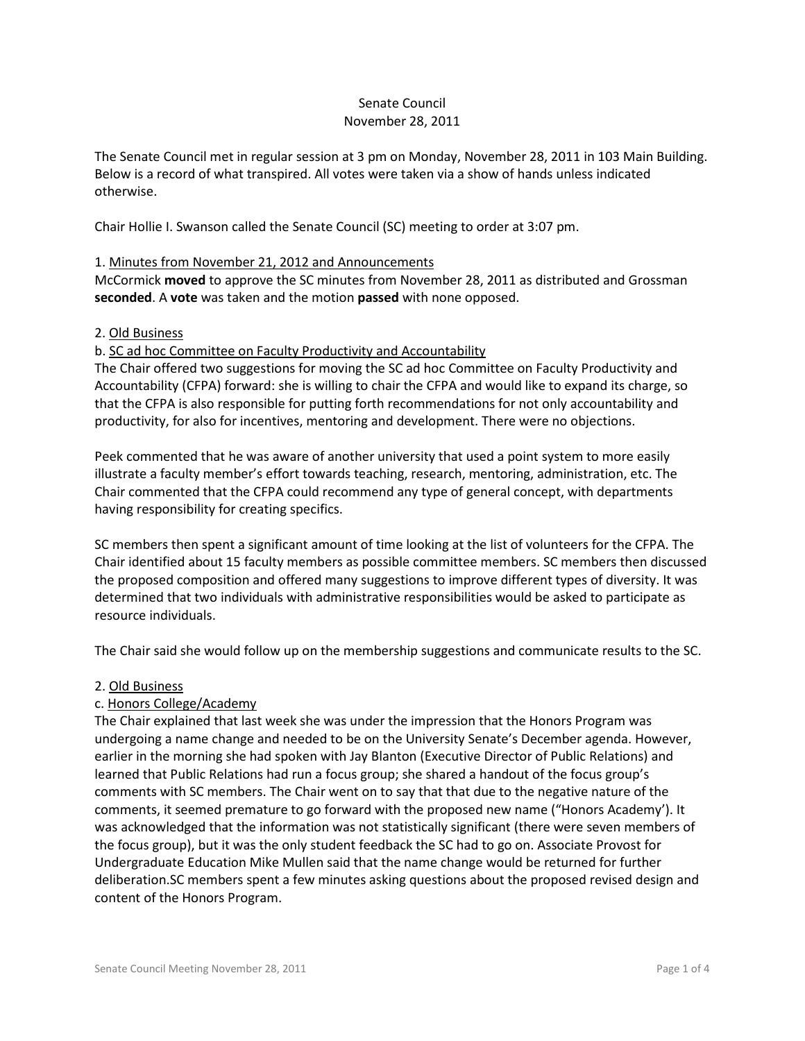#### Senate Council November 28, 2011

The Senate Council met in regular session at 3 pm on Monday, November 28, 2011 in 103 Main Building. Below is a record of what transpired. All votes were taken via a show of hands unless indicated otherwise.

Chair Hollie I. Swanson called the Senate Council (SC) meeting to order at 3:07 pm.

# 1. Minutes from November 21, 2012 and Announcements

McCormick **moved** to approve the SC minutes from November 28, 2011 as distributed and Grossman **seconded**. A **vote** was taken and the motion **passed** with none opposed.

#### 2. Old Business

#### b. SC ad hoc Committee on Faculty Productivity and Accountability

The Chair offered two suggestions for moving the SC ad hoc Committee on Faculty Productivity and Accountability (CFPA) forward: she is willing to chair the CFPA and would like to expand its charge, so that the CFPA is also responsible for putting forth recommendations for not only accountability and productivity, for also for incentives, mentoring and development. There were no objections.

Peek commented that he was aware of another university that used a point system to more easily illustrate a faculty member's effort towards teaching, research, mentoring, administration, etc. The Chair commented that the CFPA could recommend any type of general concept, with departments having responsibility for creating specifics.

SC members then spent a significant amount of time looking at the list of volunteers for the CFPA. The Chair identified about 15 faculty members as possible committee members. SC members then discussed the proposed composition and offered many suggestions to improve different types of diversity. It was determined that two individuals with administrative responsibilities would be asked to participate as resource individuals.

The Chair said she would follow up on the membership suggestions and communicate results to the SC.

# 2. Old Business

# c. Honors College/Academy

The Chair explained that last week she was under the impression that the Honors Program was undergoing a name change and needed to be on the University Senate's December agenda. However, earlier in the morning she had spoken with Jay Blanton (Executive Director of Public Relations) and learned that Public Relations had run a focus group; she shared a handout of the focus group's comments with SC members. The Chair went on to say that that due to the negative nature of the comments, it seemed premature to go forward with the proposed new name ("Honors Academy'). It was acknowledged that the information was not statistically significant (there were seven members of the focus group), but it was the only student feedback the SC had to go on. Associate Provost for Undergraduate Education Mike Mullen said that the name change would be returned for further deliberation.SC members spent a few minutes asking questions about the proposed revised design and content of the Honors Program.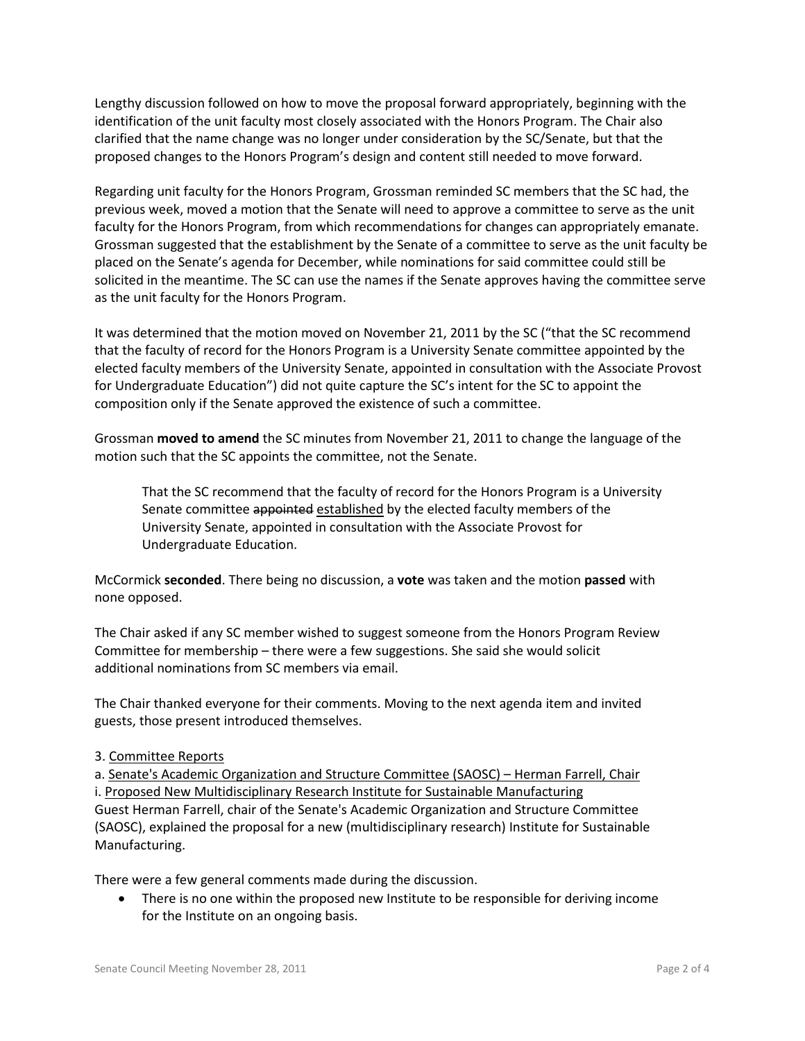Lengthy discussion followed on how to move the proposal forward appropriately, beginning with the identification of the unit faculty most closely associated with the Honors Program. The Chair also clarified that the name change was no longer under consideration by the SC/Senate, but that the proposed changes to the Honors Program's design and content still needed to move forward.

Regarding unit faculty for the Honors Program, Grossman reminded SC members that the SC had, the previous week, moved a motion that the Senate will need to approve a committee to serve as the unit faculty for the Honors Program, from which recommendations for changes can appropriately emanate. Grossman suggested that the establishment by the Senate of a committee to serve as the unit faculty be placed on the Senate's agenda for December, while nominations for said committee could still be solicited in the meantime. The SC can use the names if the Senate approves having the committee serve as the unit faculty for the Honors Program.

It was determined that the motion moved on November 21, 2011 by the SC ("that the SC recommend that the faculty of record for the Honors Program is a University Senate committee appointed by the elected faculty members of the University Senate, appointed in consultation with the Associate Provost for Undergraduate Education") did not quite capture the SC's intent for the SC to appoint the composition only if the Senate approved the existence of such a committee.

Grossman **moved to amend** the SC minutes from November 21, 2011 to change the language of the motion such that the SC appoints the committee, not the Senate.

That the SC recommend that the faculty of record for the Honors Program is a University Senate committee appointed established by the elected faculty members of the University Senate, appointed in consultation with the Associate Provost for Undergraduate Education.

McCormick **seconded**. There being no discussion, a **vote** was taken and the motion **passed** with none opposed.

The Chair asked if any SC member wished to suggest someone from the Honors Program Review Committee for membership – there were a few suggestions. She said she would solicit additional nominations from SC members via email.

The Chair thanked everyone for their comments. Moving to the next agenda item and invited guests, those present introduced themselves.

# 3. Committee Reports

a. Senate's Academic Organization and Structure Committee (SAOSC) – Herman Farrell, Chair i. Proposed New Multidisciplinary Research Institute for Sustainable Manufacturing Guest Herman Farrell, chair of the Senate's Academic Organization and Structure Committee (SAOSC), explained the proposal for a new (multidisciplinary research) Institute for Sustainable Manufacturing.

There were a few general comments made during the discussion.

• There is no one within the proposed new Institute to be responsible for deriving income for the Institute on an ongoing basis.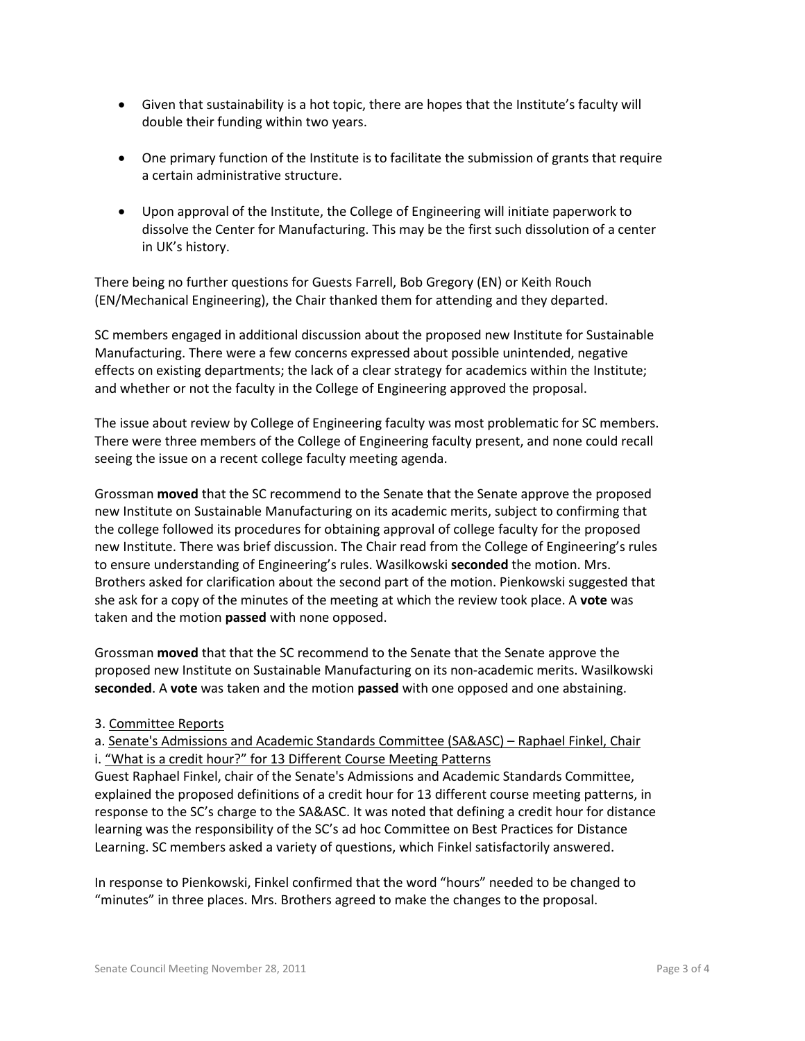- Given that sustainability is a hot topic, there are hopes that the Institute's faculty will double their funding within two years.
- One primary function of the Institute is to facilitate the submission of grants that require a certain administrative structure.
- Upon approval of the Institute, the College of Engineering will initiate paperwork to dissolve the Center for Manufacturing. This may be the first such dissolution of a center in UK's history.

There being no further questions for Guests Farrell, Bob Gregory (EN) or Keith Rouch (EN/Mechanical Engineering), the Chair thanked them for attending and they departed.

SC members engaged in additional discussion about the proposed new Institute for Sustainable Manufacturing. There were a few concerns expressed about possible unintended, negative effects on existing departments; the lack of a clear strategy for academics within the Institute; and whether or not the faculty in the College of Engineering approved the proposal.

The issue about review by College of Engineering faculty was most problematic for SC members. There were three members of the College of Engineering faculty present, and none could recall seeing the issue on a recent college faculty meeting agenda.

Grossman **moved** that the SC recommend to the Senate that the Senate approve the proposed new Institute on Sustainable Manufacturing on its academic merits, subject to confirming that the college followed its procedures for obtaining approval of college faculty for the proposed new Institute. There was brief discussion. The Chair read from the College of Engineering's rules to ensure understanding of Engineering's rules. Wasilkowski **seconded** the motion. Mrs. Brothers asked for clarification about the second part of the motion. Pienkowski suggested that she ask for a copy of the minutes of the meeting at which the review took place. A **vote** was taken and the motion **passed** with none opposed.

Grossman **moved** that that the SC recommend to the Senate that the Senate approve the proposed new Institute on Sustainable Manufacturing on its non-academic merits. Wasilkowski **seconded**. A **vote** was taken and the motion **passed** with one opposed and one abstaining.

# 3. Committee Reports

a. Senate's Admissions and Academic Standards Committee (SA&ASC) – Raphael Finkel, Chair i. "What is a credit hour?" for 13 Different Course Meeting Patterns

Guest Raphael Finkel, chair of the Senate's Admissions and Academic Standards Committee, explained the proposed definitions of a credit hour for 13 different course meeting patterns, in response to the SC's charge to the SA&ASC. It was noted that defining a credit hour for distance learning was the responsibility of the SC's ad hoc Committee on Best Practices for Distance Learning. SC members asked a variety of questions, which Finkel satisfactorily answered.

In response to Pienkowski, Finkel confirmed that the word "hours" needed to be changed to "minutes" in three places. Mrs. Brothers agreed to make the changes to the proposal.